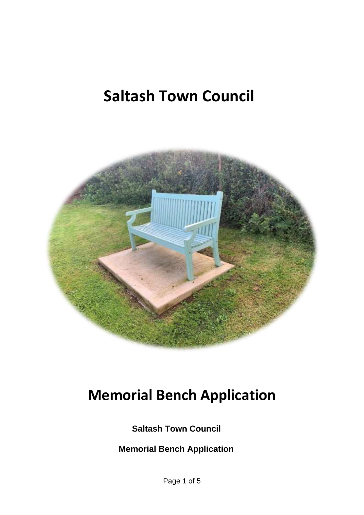# **Saltash Town Council**



# **Memorial Bench Application**

**Saltash Town Council**

 **Memorial Bench Application**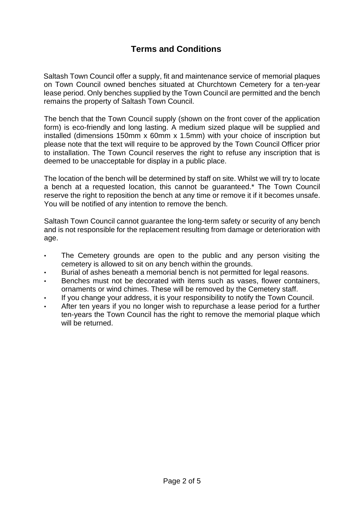## **Terms and Conditions**

Saltash Town Council offer a supply, fit and maintenance service of memorial plaques on Town Council owned benches situated at Churchtown Cemetery for a ten-year lease period. Only benches supplied by the Town Council are permitted and the bench remains the property of Saltash Town Council.

The bench that the Town Council supply (shown on the front cover of the application form) is eco-friendly and long lasting. A medium sized plaque will be supplied and installed (dimensions 150mm x 60mm x 1.5mm) with your choice of inscription but please note that the text will require to be approved by the Town Council Officer prior to installation. The Town Council reserves the right to refuse any inscription that is deemed to be unacceptable for display in a public place.

The location of the bench will be determined by staff on site. Whilst we will try to locate a bench at a requested location, this cannot be guaranteed.\* The Town Council reserve the right to reposition the bench at any time or remove it if it becomes unsafe. You will be notified of any intention to remove the bench.

Saltash Town Council cannot guarantee the long-term safety or security of any bench and is not responsible for the replacement resulting from damage or deterioration with age.

- The Cemetery grounds are open to the public and any person visiting the cemetery is allowed to sit on any bench within the grounds.
- Burial of ashes beneath a memorial bench is not permitted for legal reasons.
- Benches must not be decorated with items such as vases, flower containers, ornaments or wind chimes. These will be removed by the Cemetery staff.
- If you change your address, it is your responsibility to notify the Town Council.
- After ten years if you no longer wish to repurchase a lease period for a further ten-years the Town Council has the right to remove the memorial plaque which will be returned.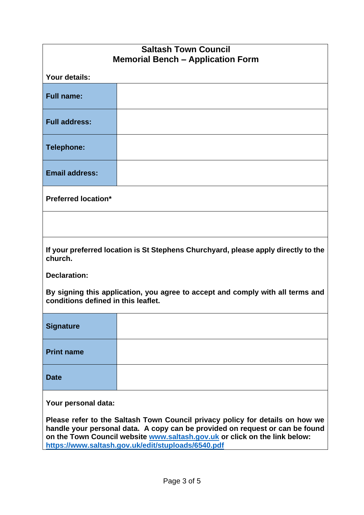| <b>Saltash Town Council</b>                                                                                                                                                                                                                                                                       |  |  |
|---------------------------------------------------------------------------------------------------------------------------------------------------------------------------------------------------------------------------------------------------------------------------------------------------|--|--|
| <b>Memorial Bench - Application Form</b>                                                                                                                                                                                                                                                          |  |  |
| Your details:                                                                                                                                                                                                                                                                                     |  |  |
| <b>Full name:</b>                                                                                                                                                                                                                                                                                 |  |  |
| <b>Full address:</b>                                                                                                                                                                                                                                                                              |  |  |
| <b>Telephone:</b>                                                                                                                                                                                                                                                                                 |  |  |
| <b>Email address:</b>                                                                                                                                                                                                                                                                             |  |  |
| <b>Preferred location*</b>                                                                                                                                                                                                                                                                        |  |  |
|                                                                                                                                                                                                                                                                                                   |  |  |
| If your preferred location is St Stephens Churchyard, please apply directly to the<br>church.                                                                                                                                                                                                     |  |  |
| <b>Declaration:</b>                                                                                                                                                                                                                                                                               |  |  |
| By signing this application, you agree to accept and comply with all terms and<br>conditions defined in this leaflet.                                                                                                                                                                             |  |  |
| <b>Signature</b>                                                                                                                                                                                                                                                                                  |  |  |
| <b>Print name</b>                                                                                                                                                                                                                                                                                 |  |  |
| <b>Date</b>                                                                                                                                                                                                                                                                                       |  |  |
| Your personal data:                                                                                                                                                                                                                                                                               |  |  |
| Please refer to the Saltash Town Council privacy policy for details on how we<br>handle your personal data. A copy can be provided on request or can be found<br>on the Town Council website www.saltash.gov.uk or click on the link below:<br>https://www.saltash.gov.uk/edit/stuploads/6540.pdf |  |  |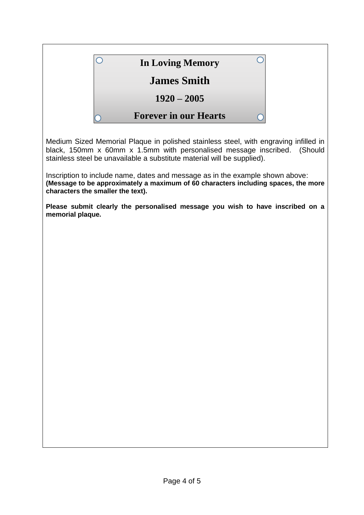